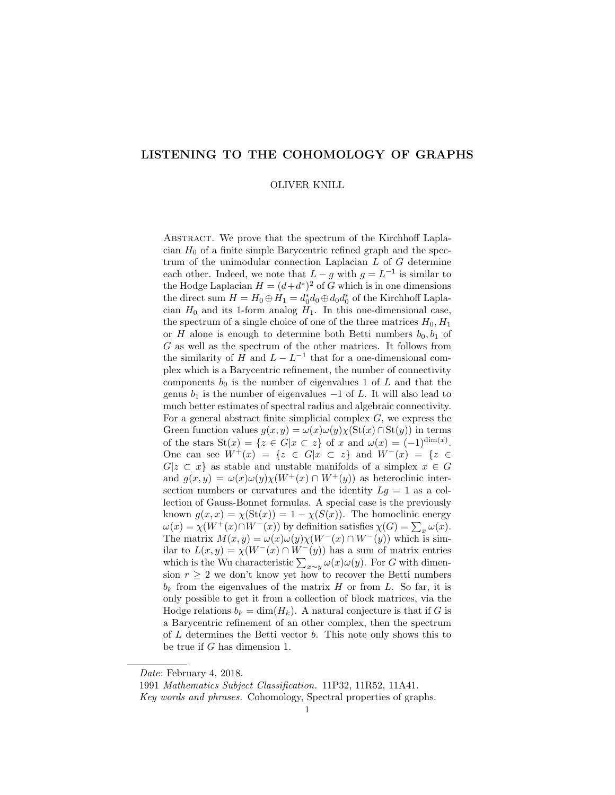# LISTENING TO THE COHOMOLOGY OF GRAPHS

#### OLIVER KNILL

ABSTRACT. We prove that the spectrum of the Kirchhoff Laplacian  $H_0$  of a finite simple Barycentric refined graph and the spectrum of the unimodular connection Laplacian L of G determine each other. Indeed, we note that  $L-g$  with  $g = L^{-1}$  is similar to the Hodge Laplacian  $H = (d+d^*)^2$  of G which is in one dimensions the direct sum  $H = H_0 \oplus H_1 = d_0^* d_0 \oplus d_0 d_0^*$  of the Kirchhoff Laplacian  $H_0$  and its 1-form analog  $H_1$ . In this one-dimensional case, the spectrum of a single choice of one of the three matrices  $H_0, H_1$ or  $H$  alone is enough to determine both Betti numbers  $b_0, b_1$  of G as well as the spectrum of the other matrices. It follows from the similarity of H and  $L - L^{-1}$  that for a one-dimensional complex which is a Barycentric refinement, the number of connectivity components  $b_0$  is the number of eigenvalues 1 of L and that the genus  $b_1$  is the number of eigenvalues  $-1$  of L. It will also lead to much better estimates of spectral radius and algebraic connectivity. For a general abstract finite simplicial complex  $G$ , we express the Green function values  $g(x, y) = \omega(x)\omega(y)\chi(\text{St}(x) \cap \text{St}(y))$  in terms of the stars  $St(x) = \{z \in G | x \subset z\}$  of x and  $\omega(x) = (-1)^{\dim(x)}$ . One can see  $W^+(x) = \{z \in G | x \subset z\}$  and  $W^-(x) = \{z \in G | x \subset z\}$  $G|z \subset x$  as stable and unstable manifolds of a simplex  $x \in G$ and  $g(x, y) = \omega(x)\omega(y)\chi(W^+(x) \cap W^+(y))$  as heteroclinic intersection numbers or curvatures and the identity  $Lg = 1$  as a collection of Gauss-Bonnet formulas. A special case is the previously known  $g(x, x) = \chi(\text{St}(x)) = 1 - \chi(S(x))$ . The homoclinic energy  $\omega(x) = \chi(W^+(x) \cap W^-(x))$  by definition satisfies  $\chi(G) = \sum_x \omega(x)$ . The matrix  $M(x, y) = \omega(x)\omega(y)\chi(W^-(x) \cap W^-(y))$  which is similar to  $L(x, y) = \chi(W^-(x) \cap W^-(y))$  has a sum of matrix entries which is the Wu characteristic  $\sum_{x \sim y} \omega(x) \omega(y)$ . For G with dimension  $r \geq 2$  we don't know yet how to recover the Betti numbers  $b_k$  from the eigenvalues of the matrix H or from L. So far, it is only possible to get it from a collection of block matrices, via the Hodge relations  $b_k = \dim(H_k)$ . A natural conjecture is that if G is a Barycentric refinement of an other complex, then the spectrum of  $L$  determines the Betti vector  $b$ . This note only shows this to be true if G has dimension 1.

Date: February 4, 2018.

<sup>1991</sup> Mathematics Subject Classification. 11P32, 11R52, 11A41.

Key words and phrases. Cohomology, Spectral properties of graphs.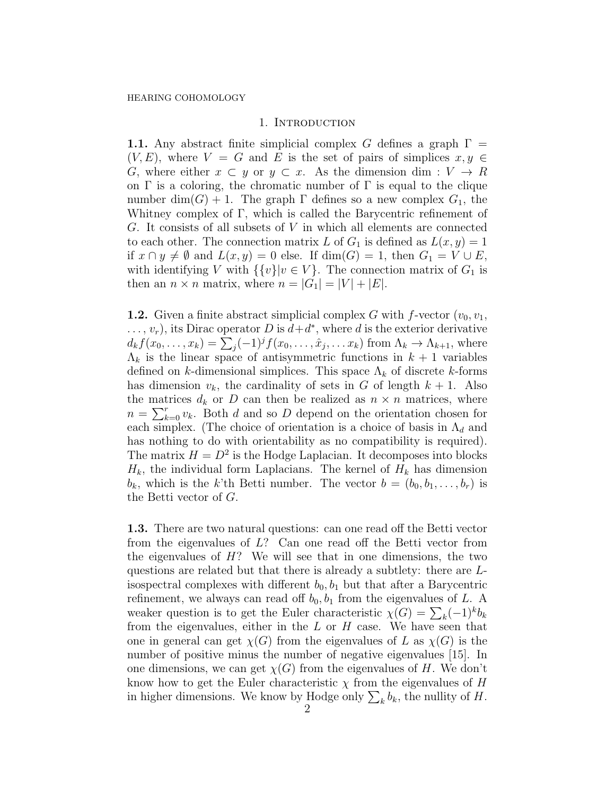## 1. INTRODUCTION

1.1. Any abstract finite simplicial complex G defines a graph  $\Gamma =$  $(V, E)$ , where  $V = G$  and E is the set of pairs of simplices  $x, y \in$ G, where either  $x \subset y$  or  $y \subset x$ . As the dimension dim :  $V \to R$ on  $\Gamma$  is a coloring, the chromatic number of  $\Gamma$  is equal to the clique number dim(G) + 1. The graph  $\Gamma$  defines so a new complex  $G_1$ , the Whitney complex of Γ, which is called the Barycentric refinement of G. It consists of all subsets of V in which all elements are connected to each other. The connection matrix L of  $G_1$  is defined as  $L(x, y) = 1$ if  $x \cap y \neq \emptyset$  and  $L(x, y) = 0$  else. If  $dim(G) = 1$ , then  $G_1 = V \cup E$ , with identifying V with  $\{\{v\}|v \in V\}$ . The connection matrix of  $G_1$  is then an  $n \times n$  matrix, where  $n = |G_1| = |V| + |E|$ .

**1.2.** Given a finite abstract simplicial complex G with f-vector  $(v_0, v_1,$  $\dots, v_r$ , its Dirac operator D is  $d+d^*$ , where d is the exterior derivative  $d_k f(x_0, \ldots, x_k) = \sum_j (-1)^j f(x_0, \ldots, \hat{x}_j, \ldots, x_k)$  from  $\Lambda_k \to \Lambda_{k+1}$ , where  $\Lambda_k$  is the linear space of antisymmetric functions in  $k+1$  variables defined on k-dimensional simplices. This space  $\Lambda_k$  of discrete k-forms has dimension  $v_k$ , the cardinality of sets in G of length  $k + 1$ . Also the matrices  $d_k$  or D can then be realized as  $n \times n$  matrices, where  $n = \sum_{k=0}^{r} v_k$ . Both d and so D depend on the orientation chosen for each simplex. (The choice of orientation is a choice of basis in  $\Lambda_d$  and has nothing to do with orientability as no compatibility is required). The matrix  $H = D^2$  is the Hodge Laplacian. It decomposes into blocks  $H_k$ , the individual form Laplacians. The kernel of  $H_k$  has dimension  $b_k$ , which is the k'th Betti number. The vector  $b = (b_0, b_1, \ldots, b_r)$  is the Betti vector of G.

1.3. There are two natural questions: can one read off the Betti vector from the eigenvalues of  $L$ ? Can one read off the Betti vector from the eigenvalues of  $H$ ? We will see that in one dimensions, the two questions are related but that there is already a subtlety: there are Lisospectral complexes with different  $b_0, b_1$  but that after a Barycentric refinement, we always can read off  $b_0$ ,  $b_1$  from the eigenvalues of L. A weaker question is to get the Euler characteristic  $\chi(G) = \sum_{k} (-1)^{k} b_{k}$ from the eigenvalues, either in the  $L$  or  $H$  case. We have seen that one in general can get  $\chi(G)$  from the eigenvalues of L as  $\chi(G)$  is the number of positive minus the number of negative eigenvalues [15]. In one dimensions, we can get  $\chi(G)$  from the eigenvalues of H. We don't know how to get the Euler characteristic  $\chi$  from the eigenvalues of H in higher dimensions. We know by Hodge only  $\sum_k b_k$ , the nullity of H.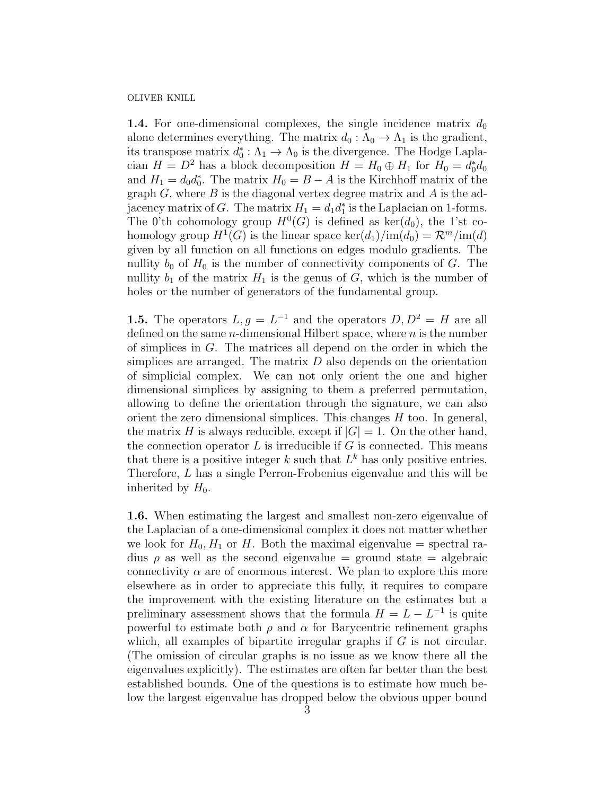**1.4.** For one-dimensional complexes, the single incidence matrix  $d_0$ alone determines everything. The matrix  $d_0 : \Lambda_0 \to \Lambda_1$  is the gradient, its transpose matrix  $d_0^* : \Lambda_1 \to \Lambda_0$  is the divergence. The Hodge Laplacian  $H = D^2$  has a block decomposition  $H = H_0 \oplus H_1$  for  $H_0 = d_0^* d_0$ and  $H_1 = d_0 d_0^*$ . The matrix  $H_0 = B - A$  is the Kirchhoff matrix of the graph  $G$ , where  $B$  is the diagonal vertex degree matrix and  $A$  is the adjacency matrix of G. The matrix  $H_1 = d_1 d_1^*$  is the Laplacian on 1-forms. The 0'th cohomology group  $H^0(G)$  is defined as ker $(d_0)$ , the 1'st cohomology group  $H^1(G)$  is the linear space  $\ker(d_1)/\mathrm{im}(d_0) = \mathcal{R}^m/\mathrm{im}(d)$ given by all function on all functions on edges modulo gradients. The nullity  $b_0$  of  $H_0$  is the number of connectivity components of G. The nullity  $b_1$  of the matrix  $H_1$  is the genus of G, which is the number of holes or the number of generators of the fundamental group.

**1.5.** The operators  $L, g = L^{-1}$  and the operators  $D, D^2 = H$  are all defined on the same  $n$ -dimensional Hilbert space, where  $n$  is the number of simplices in G. The matrices all depend on the order in which the simplices are arranged. The matrix  $D$  also depends on the orientation of simplicial complex. We can not only orient the one and higher dimensional simplices by assigning to them a preferred permutation, allowing to define the orientation through the signature, we can also orient the zero dimensional simplices. This changes  $H$  too. In general, the matrix H is always reducible, except if  $|G| = 1$ . On the other hand, the connection operator  $L$  is irreducible if  $G$  is connected. This means that there is a positive integer  $k$  such that  $L^k$  has only positive entries. Therefore, L has a single Perron-Frobenius eigenvalue and this will be inherited by  $H_0$ .

1.6. When estimating the largest and smallest non-zero eigenvalue of the Laplacian of a one-dimensional complex it does not matter whether we look for  $H_0, H_1$  or H. Both the maximal eigenvalue = spectral radius  $\rho$  as well as the second eigenvalue = ground state = algebraic connectivity  $\alpha$  are of enormous interest. We plan to explore this more elsewhere as in order to appreciate this fully, it requires to compare the improvement with the existing literature on the estimates but a preliminary assessment shows that the formula  $H = L - L^{-1}$  is quite powerful to estimate both  $\rho$  and  $\alpha$  for Barycentric refinement graphs which, all examples of bipartite irregular graphs if  $G$  is not circular. (The omission of circular graphs is no issue as we know there all the eigenvalues explicitly). The estimates are often far better than the best established bounds. One of the questions is to estimate how much below the largest eigenvalue has dropped below the obvious upper bound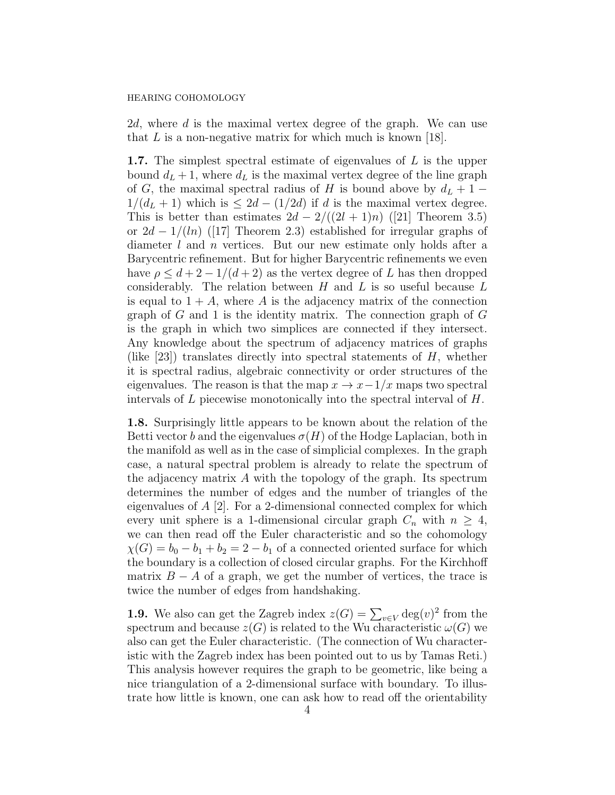2d, where d is the maximal vertex degree of the graph. We can use that  $L$  is a non-negative matrix for which much is known [18].

1.7. The simplest spectral estimate of eigenvalues of L is the upper bound  $d_L + 1$ , where  $d_L$  is the maximal vertex degree of the line graph of G, the maximal spectral radius of H is bound above by  $d_L + 1 1/(d_L + 1)$  which is  $\leq 2d - (1/2d)$  if d is the maximal vertex degree. This is better than estimates  $2d - 2/((2l + 1)n)$  ([21] Theorem 3.5) or  $2d - 1/(ln)$  ([17] Theorem 2.3) established for irregular graphs of diameter l and n vertices. But our new estimate only holds after a Barycentric refinement. But for higher Barycentric refinements we even have  $\rho \leq d + 2 - 1/(d + 2)$  as the vertex degree of L has then dropped considerably. The relation between  $H$  and  $L$  is so useful because  $L$ is equal to  $1 + A$ , where A is the adjacency matrix of the connection graph of  $G$  and 1 is the identity matrix. The connection graph of  $G$ is the graph in which two simplices are connected if they intersect. Any knowledge about the spectrum of adjacency matrices of graphs (like  $[23]$ ) translates directly into spectral statements of H, whether it is spectral radius, algebraic connectivity or order structures of the eigenvalues. The reason is that the map  $x \to x-1/x$  maps two spectral intervals of  $L$  piecewise monotonically into the spectral interval of  $H$ .

1.8. Surprisingly little appears to be known about the relation of the Betti vector b and the eigenvalues  $\sigma(H)$  of the Hodge Laplacian, both in the manifold as well as in the case of simplicial complexes. In the graph case, a natural spectral problem is already to relate the spectrum of the adjacency matrix A with the topology of the graph. Its spectrum determines the number of edges and the number of triangles of the eigenvalues of A [2]. For a 2-dimensional connected complex for which every unit sphere is a 1-dimensional circular graph  $C_n$  with  $n \geq 4$ , we can then read off the Euler characteristic and so the cohomology  $\chi(G) = b_0 - b_1 + b_2 = 2 - b_1$  of a connected oriented surface for which the boundary is a collection of closed circular graphs. For the Kirchhoff matrix  $B - A$  of a graph, we get the number of vertices, the trace is twice the number of edges from handshaking.

**1.9.** We also can get the Zagreb index  $z(G) = \sum_{v \in V} \deg(v)^2$  from the spectrum and because  $z(G)$  is related to the Wu characteristic  $\omega(G)$  we also can get the Euler characteristic. (The connection of Wu characteristic with the Zagreb index has been pointed out to us by Tamas Reti.) This analysis however requires the graph to be geometric, like being a nice triangulation of a 2-dimensional surface with boundary. To illustrate how little is known, one can ask how to read off the orientability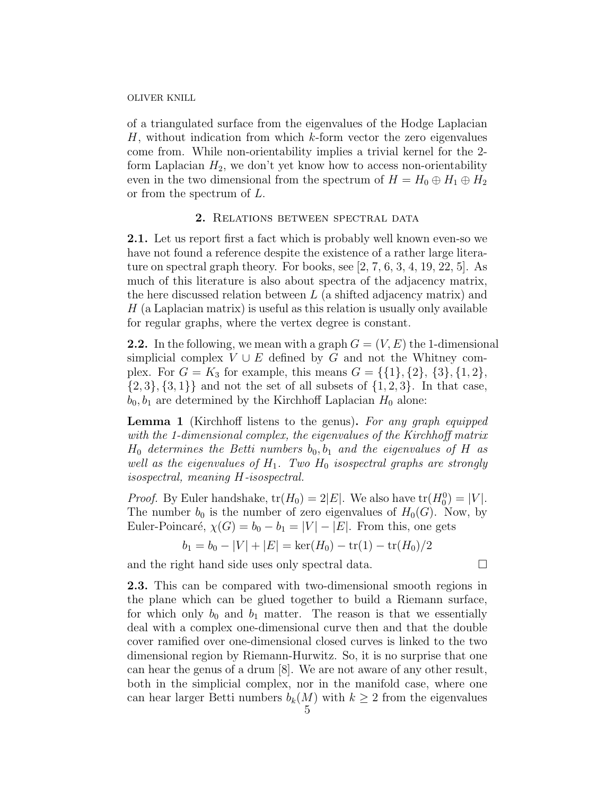of a triangulated surface from the eigenvalues of the Hodge Laplacian  $H$ , without indication from which  $k$ -form vector the zero eigenvalues come from. While non-orientability implies a trivial kernel for the 2 form Laplacian  $H_2$ , we don't yet know how to access non-orientability even in the two dimensional from the spectrum of  $H = H_0 \oplus H_1 \oplus H_2$ or from the spectrum of L.

# 2. RELATIONS BETWEEN SPECTRAL DATA

2.1. Let us report first a fact which is probably well known even-so we have not found a reference despite the existence of a rather large literature on spectral graph theory. For books, see [2, 7, 6, 3, 4, 19, 22, 5]. As much of this literature is also about spectra of the adjacency matrix, the here discussed relation between  $L$  (a shifted adjacency matrix) and  $H$  (a Laplacian matrix) is useful as this relation is usually only available for regular graphs, where the vertex degree is constant.

**2.2.** In the following, we mean with a graph  $G = (V, E)$  the 1-dimensional simplicial complex  $V \cup E$  defined by G and not the Whitney complex. For  $G = K_3$  for example, this means  $G = \{\{1\}, \{2\}, \{3\}, \{1, 2\},\$  $\{2,3\}, \{3,1\}\}\$ and not the set of all subsets of  $\{1,2,3\}$ . In that case,  $b_0, b_1$  are determined by the Kirchhoff Laplacian  $H_0$  alone:

Lemma 1 (Kirchhoff listens to the genus). For any graph equipped with the 1-dimensional complex, the eigenvalues of the Kirchhoff matrix  $H_0$  determines the Betti numbers  $b_0, b_1$  and the eigenvalues of H as well as the eigenvalues of  $H_1$ . Two  $H_0$  isospectral graphs are strongly isospectral, meaning H-isospectral.

*Proof.* By Euler handshake,  $tr(H_0) = 2|E|$ . We also have  $tr(H_0^0) = |V|$ . The number  $b_0$  is the number of zero eigenvalues of  $H_0(G)$ . Now, by Euler-Poincaré,  $\chi(G) = b_0 - b_1 = |V| - |E|$ . From this, one gets

$$
b_1 = b_0 - |V| + |E| = \ker(H_0) - \text{tr}(1) - \text{tr}(H_0)/2
$$

and the right hand side uses only spectral data.

2.3. This can be compared with two-dimensional smooth regions in the plane which can be glued together to build a Riemann surface, for which only  $b_0$  and  $b_1$  matter. The reason is that we essentially deal with a complex one-dimensional curve then and that the double cover ramified over one-dimensional closed curves is linked to the two dimensional region by Riemann-Hurwitz. So, it is no surprise that one can hear the genus of a drum [8]. We are not aware of any other result, both in the simplicial complex, nor in the manifold case, where one can hear larger Betti numbers  $b_k(M)$  with  $k \geq 2$  from the eigenvalues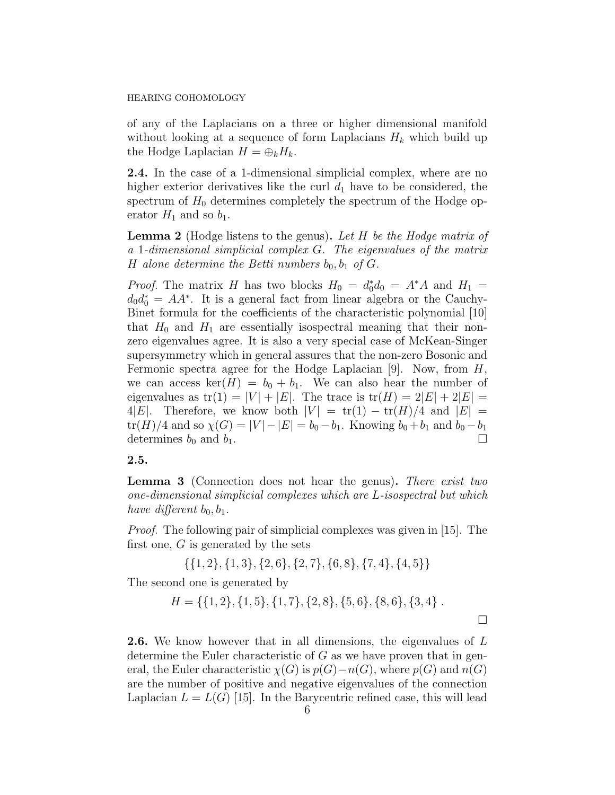of any of the Laplacians on a three or higher dimensional manifold without looking at a sequence of form Laplacians  $H_k$  which build up the Hodge Laplacian  $H = \bigoplus_k H_k$ .

2.4. In the case of a 1-dimensional simplicial complex, where are no higher exterior derivatives like the curl  $d_1$  have to be considered, the spectrum of  $H_0$  determines completely the spectrum of the Hodge operator  $H_1$  and so  $b_1$ .

**Lemma 2** (Hodge listens to the genus). Let  $H$  be the Hodge matrix of a 1-dimensional simplicial complex G. The eigenvalues of the matrix H alone determine the Betti numbers  $b_0, b_1$  of G.

*Proof.* The matrix H has two blocks  $H_0 = d_0^* d_0 = A^* A$  and  $H_1 =$  $d_0 d_0^* = AA^*$ . It is a general fact from linear algebra or the Cauchy-Binet formula for the coefficients of the characteristic polynomial [10] that  $H_0$  and  $H_1$  are essentially isospectral meaning that their nonzero eigenvalues agree. It is also a very special case of McKean-Singer supersymmetry which in general assures that the non-zero Bosonic and Fermonic spectra agree for the Hodge Laplacian [9]. Now, from  $H$ , we can access ker( $H$ ) =  $b_0 + b_1$ . We can also hear the number of eigenvalues as  $tr(1) = |V| + |E|$ . The trace is  $tr(H) = 2|E| + 2|E|$ 4|E|. Therefore, we know both  $|V| = \text{tr}(1) - \text{tr}(H)/4$  and  $|E| =$  $tr(H)/4$  and so  $\chi(G) = |V| - |E| = b_0 - b_1$ . Knowing  $b_0 + b_1$  and  $b_0 - b_1$ determines  $b_0$  and  $b_1$ .

2.5.

Lemma 3 (Connection does not hear the genus). There exist two one-dimensional simplicial complexes which are L-isospectral but which have different  $b_0, b_1$ .

Proof. The following pair of simplicial complexes was given in [15]. The first one,  $G$  is generated by the sets

$$
{\{1,2\},\{1,3\},\{2,6\},\{2,7\},\{6,8\},\{7,4\},\{4,5\}\}\
$$

The second one is generated by

$$
H = \{ \{1, 2\}, \{1, 5\}, \{1, 7\}, \{2, 8\}, \{5, 6\}, \{8, 6\}, \{3, 4\} \ .
$$

2.6. We know however that in all dimensions, the eigenvalues of L determine the Euler characteristic of  $G$  as we have proven that in general, the Euler characteristic  $\chi(G)$  is  $p(G)-n(G)$ , where  $p(G)$  and  $n(G)$ are the number of positive and negative eigenvalues of the connection Laplacian  $L = L(G)$  [15]. In the Barycentric refined case, this will lead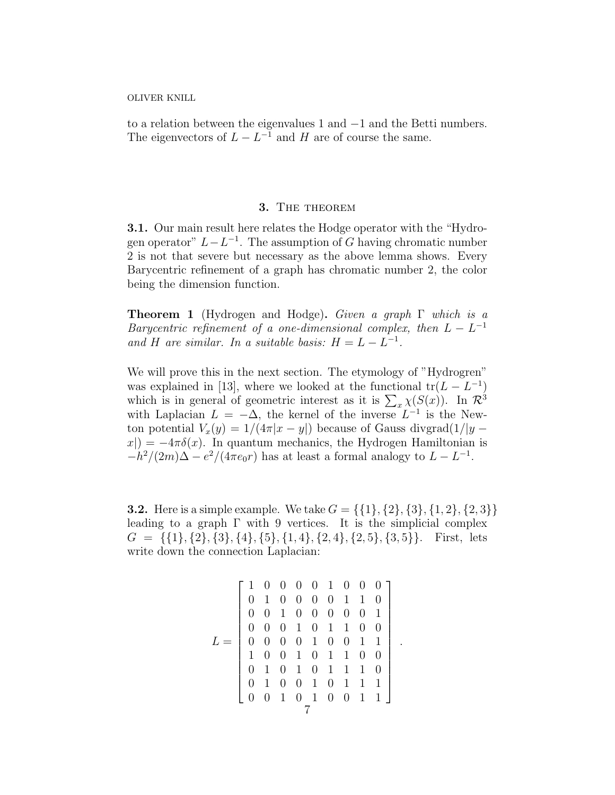to a relation between the eigenvalues 1 and −1 and the Betti numbers. The eigenvectors of  $L - L^{-1}$  and H are of course the same.

## 3. THE THEOREM

3.1. Our main result here relates the Hodge operator with the "Hydrogen operator"  $L - L^{-1}$ . The assumption of G having chromatic number 2 is not that severe but necessary as the above lemma shows. Every Barycentric refinement of a graph has chromatic number 2, the color being the dimension function.

Theorem 1 (Hydrogen and Hodge). Given a graph Γ which is a Barycentric refinement of a one-dimensional complex, then  $L - L^{-1}$ and H are similar. In a suitable basis:  $H = L - L^{-1}$ .

We will prove this in the next section. The etymology of "Hydrogren" was explained in [13], where we looked at the functional  $tr(L - L^{-1})$ which is in general of geometric interest as it is  $\sum_{x} \chi(S(x))$ . In  $\mathcal{R}^3$ with Laplacian  $L = -\Delta$ , the kernel of the inverse  $L^{-1}$  is the Newton potential  $V_x(y) = 1/(4\pi|x-y|)$  because of Gauss divgrad $(1/|y - y|)$  $x| = -4\pi\delta(x)$ . In quantum mechanics, the Hydrogen Hamiltonian is  $-h^2/(2m)\Delta - e^2/(4\pi\epsilon_0 r)$  has at least a formal analogy to  $L - L^{-1}$ .

**3.2.** Here is a simple example. We take  $G = \{\{1\}, \{2\}, \{3\}, \{1, 2\}, \{2, 3\}\}\$ leading to a graph  $\Gamma$  with 9 vertices. It is the simplicial complex  $G = \{\{1\}, \{2\}, \{3\}, \{4\}, \{5\}, \{1, 4\}, \{2, 4\}, \{2, 5\}, \{3, 5\}\}.$  First, lets write down the connection Laplacian:

$$
L = \left[\begin{array}{ccccccc} 1 & 0 & 0 & 0 & 0 & 1 & 0 & 0 & 0 \\ 0 & 1 & 0 & 0 & 0 & 0 & 1 & 1 & 0 \\ 0 & 0 & 1 & 0 & 0 & 0 & 0 & 0 & 1 \\ 0 & 0 & 0 & 1 & 0 & 1 & 1 & 0 & 0 \\ 0 & 0 & 0 & 0 & 1 & 0 & 0 & 1 & 1 \\ 1 & 0 & 0 & 1 & 0 & 1 & 1 & 1 & 0 \\ 0 & 1 & 0 & 1 & 0 & 1 & 1 & 1 & 1 \\ 0 & 0 & 1 & 0 & 1 & 0 & 1 & 1 & 1 \\ 0 & 0 & 1 & 0 & 1 & 0 & 0 & 1 & 1 \end{array}\right]
$$

.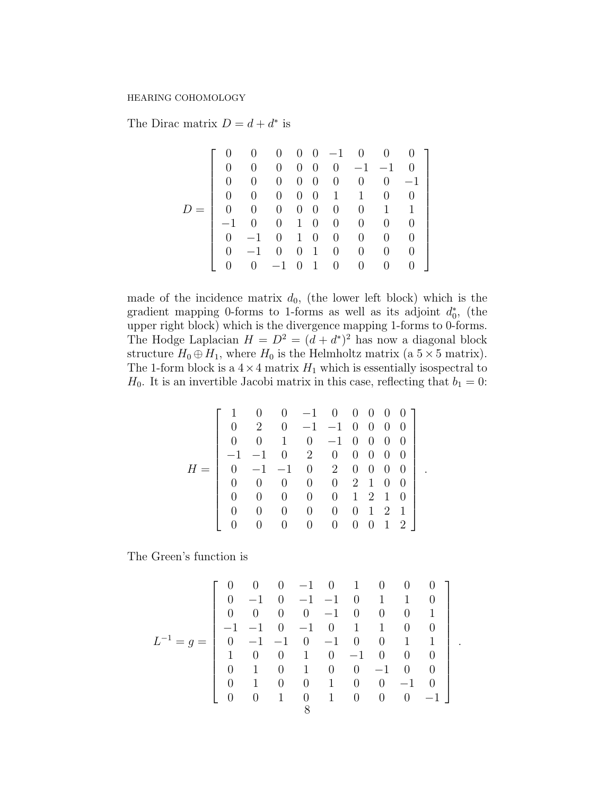The Dirac matrix  $D = d + d^*$  is

|     |                |                |                          |                |              |                             |                | $0 \t 0 \t 0 \t 0 \t -1 \t 0 \t 0 \t 0 \t 1$ |
|-----|----------------|----------------|--------------------------|----------------|--------------|-----------------------------|----------------|----------------------------------------------|
|     | 0              | $\overline{0}$ | $\overline{0}$           |                |              | $0 \t0 \t0 \t-1 \t-1 \t0$   |                |                                              |
|     | 0              | $\overline{0}$ | $\overline{0}$           |                |              | $0 \quad 0 \quad 0 \quad 0$ |                | $0 \quad -1 \quad$                           |
|     | 0              | $\overline{0}$ | $\overline{0}$           |                |              | $0 \quad 0 \quad 1 \quad 1$ | $\overline{0}$ | $\hspace{1.6cm}0$                            |
| $=$ | $\overline{0}$ | $\overline{0}$ |                          |                |              | $0 \t0 \t0 \t0 \t0$         | $1 \quad 1$    |                                              |
|     |                |                |                          |                |              | $-1$ 0 0 1 0 0 0            | $\overline{0}$ | $\hspace{1.6cm}0$                            |
|     | $\Omega$       |                |                          |                | $-1$ 0 1 0 0 | $\overline{0}$              | $\overline{0}$ | $\hspace{1.6cm}0$                            |
|     | $\Omega$       | $-1$ 0         |                          | $\overline{0}$ | $1 \quad 0$  | $\overline{0}$              | $\overline{0}$ | $\hspace{1.6cm}0$                            |
|     |                |                | $0 \t -1 \t 0 \t 1 \t 0$ |                |              | $\overline{0}$              | $\overline{0}$ | 0                                            |

made of the incidence matrix  $d_0$ , (the lower left block) which is the gradient mapping 0-forms to 1-forms as well as its adjoint  $d_0^*$ , (the upper right block) which is the divergence mapping 1-forms to 0-forms. The Hodge Laplacian  $H = D^2 = (d + d^*)^2$  has now a diagonal block structure  $H_0 \oplus H_1$ , where  $H_0$  is the Helmholtz matrix (a  $5 \times 5$  matrix). The 1-form block is a  $4 \times 4$  matrix  $H_1$  which is essentially isospectral to  $H_0$ . It is an invertible Jacobi matrix in this case, reflecting that  $b_1 = 0$ :

$$
H = \left[\begin{array}{ccccccc} 1 & 0 & 0 & -1 & 0 & 0 & 0 & 0 & 0 \\ 0 & 2 & 0 & -1 & -1 & 0 & 0 & 0 & 0 \\ 0 & 0 & 1 & 0 & -1 & 0 & 0 & 0 & 0 \\ -1 & -1 & 0 & 2 & 0 & 0 & 0 & 0 & 0 \\ 0 & -1 & -1 & 0 & 2 & 0 & 0 & 0 & 0 \\ 0 & 0 & 0 & 0 & 0 & 2 & 1 & 0 & 0 \\ 0 & 0 & 0 & 0 & 0 & 1 & 2 & 1 & 0 \\ 0 & 0 & 0 & 0 & 0 & 0 & 1 & 2 & 1 \\ 0 & 0 & 0 & 0 & 0 & 0 & 0 & 1 & 2 \end{array}\right]
$$

.

.

The Green's function is

$$
L^{-1} = g = \begin{bmatrix} 0 & 0 & 0 & -1 & 0 & 1 & 0 & 0 & 0 \\ 0 & -1 & 0 & -1 & -1 & 0 & 1 & 1 & 0 \\ 0 & 0 & 0 & 0 & -1 & 0 & 0 & 0 & 1 \\ -1 & -1 & 0 & -1 & 0 & 1 & 1 & 0 & 0 \\ 0 & -1 & -1 & 0 & -1 & 0 & 0 & 1 & 1 \\ 1 & 0 & 0 & 1 & 0 & -1 & 0 & 0 & 0 \\ 0 & 1 & 0 & 1 & 0 & 0 & -1 & 0 & 0 \\ 0 & 0 & 1 & 0 & 1 & 0 & 0 & -1 & 0 \\ 0 & 0 & 1 & 0 & 1 & 0 & 0 & 0 & -1 \end{bmatrix}
$$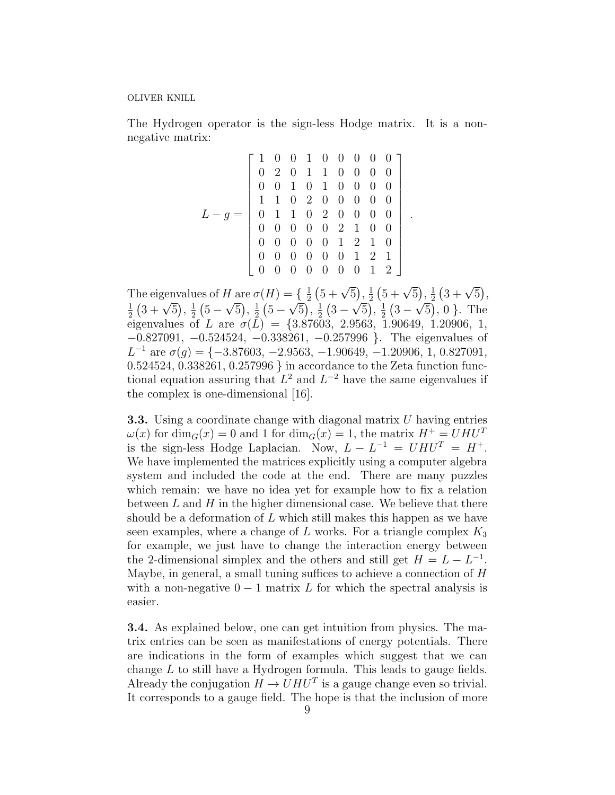The Hydrogen operator is the sign-less Hodge matrix. It is a nonnegative matrix:

$$
L-g = \begin{bmatrix} 1 & 0 & 0 & 1 & 0 & 0 & 0 & 0 & 0 \\ 0 & 2 & 0 & 1 & 1 & 0 & 0 & 0 & 0 \\ 0 & 0 & 1 & 0 & 1 & 0 & 0 & 0 & 0 \\ 1 & 1 & 0 & 2 & 0 & 0 & 0 & 0 & 0 \\ 0 & 1 & 1 & 0 & 2 & 0 & 0 & 0 & 0 \\ 0 & 0 & 0 & 0 & 0 & 2 & 1 & 0 & 0 \\ 0 & 0 & 0 & 0 & 0 & 1 & 2 & 1 & 0 \\ 0 & 0 & 0 & 0 & 0 & 0 & 1 & 2 & 1 \\ 0 & 0 & 0 & 0 & 0 & 0 & 0 & 1 & 2 \end{bmatrix}
$$

.

The eigenvalues of H are  $\sigma(H) = \{\frac{1}{2}$  $\frac{1}{2}(5+\sqrt{5}), \frac{1}{2}$  $\frac{1}{2}(5+\sqrt{5}), \frac{1}{2}$  $\frac{1}{2}(3+\sqrt{5}),$ 1  $\frac{1}{2}$   $(3 + \sqrt{5}), \frac{1}{2}$  $rac{1}{2}(5 -$ √  $\overline{5}$ ,  $\frac{1}{2}$  $rac{1}{2}(5 -$ √  $\overline{5}$ ,  $\frac{1}{2}$  $rac{1}{2}(3 -$ √  $\overline{5}$ ,  $\frac{1}{2}$  $rac{1}{2}(3 -$ √  $\overline{5}$ , 0 }. The eigenvalues of L are  $\sigma(L) = \{3.87603, 2.9563, 1.90649, 1.20906, 1,$ −0.827091, −0.524524, −0.338261, −0.257996 }. The eigenvalues of  $L^{-1}$  are  $\sigma(g) = \{-3.87603, -2.9563, -1.90649, -1.20906, 1, 0.827091,$ 0.524524, 0.338261, 0.257996 } in accordance to the Zeta function functional equation assuring that  $L^2$  and  $L^{-2}$  have the same eigenvalues if the complex is one-dimensional [16].

**3.3.** Using a coordinate change with diagonal matrix  $U$  having entries  $\omega(x)$  for  $\dim_G(x) = 0$  and 1 for  $\dim_G(x) = 1$ , the matrix  $H^+ = U H U^T$ is the sign-less Hodge Laplacian. Now,  $L - L^{-1} = U H U^{T} = H^{+}$ . We have implemented the matrices explicitly using a computer algebra system and included the code at the end. There are many puzzles which remain: we have no idea yet for example how to fix a relation between  $L$  and  $H$  in the higher dimensional case. We believe that there should be a deformation of  $L$  which still makes this happen as we have seen examples, where a change of L works. For a triangle complex  $K_3$ for example, we just have to change the interaction energy between the 2-dimensional simplex and the others and still get  $H = L - L^{-1}$ . Maybe, in general, a small tuning suffices to achieve a connection of H with a non-negative  $0 - 1$  matrix L for which the spectral analysis is easier.

3.4. As explained below, one can get intuition from physics. The matrix entries can be seen as manifestations of energy potentials. There are indications in the form of examples which suggest that we can change L to still have a Hydrogen formula. This leads to gauge fields. Already the conjugation  $H \to U H U^T$  is a gauge change even so trivial. It corresponds to a gauge field. The hope is that the inclusion of more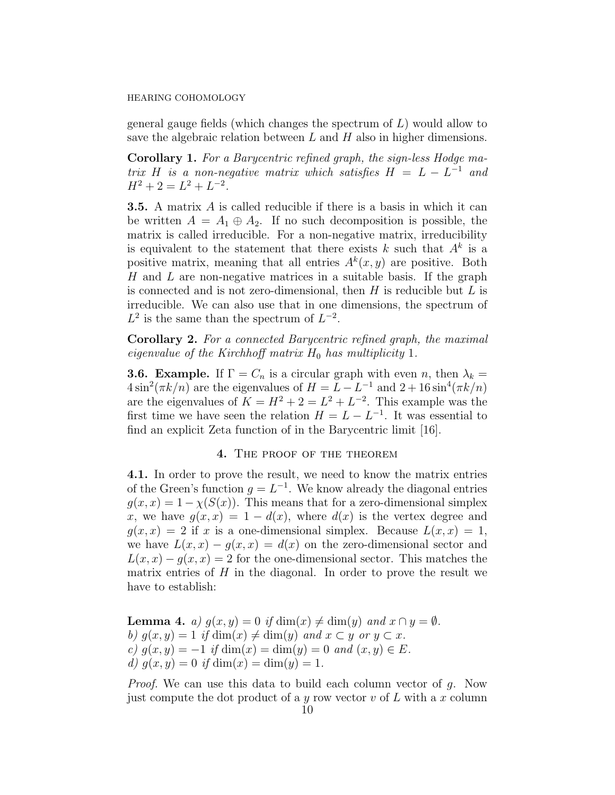general gauge fields (which changes the spectrum of  $L$ ) would allow to save the algebraic relation between  $L$  and  $H$  also in higher dimensions.

Corollary 1. For a Barycentric refined graph, the sign-less Hodge matrix H is a non-negative matrix which satisfies  $H = L - L^{-1}$  and  $H^2 + 2 = L^2 + L^{-2}.$ 

3.5. A matrix A is called reducible if there is a basis in which it can be written  $A = A_1 \oplus A_2$ . If no such decomposition is possible, the matrix is called irreducible. For a non-negative matrix, irreducibility is equivalent to the statement that there exists k such that  $A^k$  is a positive matrix, meaning that all entries  $A^k(x, y)$  are positive. Both H and L are non-negative matrices in a suitable basis. If the graph is connected and is not zero-dimensional, then  $H$  is reducible but  $L$  is irreducible. We can also use that in one dimensions, the spectrum of  $L^2$  is the same than the spectrum of  $L^{-2}$ .

Corollary 2. For a connected Barycentric refined graph, the maximal eigenvalue of the Kirchhoff matrix  $H_0$  has multiplicity 1.

**3.6. Example.** If  $\Gamma = C_n$  is a circular graph with even n, then  $\lambda_k =$  $4\sin^2(\pi k/n)$  are the eigenvalues of  $H = L - L^{-1}$  and  $2 + 16\sin^4(\pi k/n)$ are the eigenvalues of  $K = H^2 + 2 = L^2 + L^{-2}$ . This example was the first time we have seen the relation  $H = L - L^{-1}$ . It was essential to find an explicit Zeta function of in the Barycentric limit [16].

### 4. The proof of the theorem

4.1. In order to prove the result, we need to know the matrix entries of the Green's function  $g = L^{-1}$ . We know already the diagonal entries  $g(x, x) = 1 - \chi(S(x))$ . This means that for a zero-dimensional simplex x, we have  $g(x, x) = 1 - d(x)$ , where  $d(x)$  is the vertex degree and  $q(x, x) = 2$  if x is a one-dimensional simplex. Because  $L(x, x) = 1$ , we have  $L(x, x) - g(x, x) = d(x)$  on the zero-dimensional sector and  $L(x, x) - g(x, x) = 2$  for the one-dimensional sector. This matches the matrix entries of  $H$  in the diagonal. In order to prove the result we have to establish:

**Lemma 4.** a)  $g(x, y) = 0$  if  $\dim(x) \neq \dim(y)$  and  $x \cap y = \emptyset$ . b)  $q(x, y) = 1$  if  $\dim(x) \neq \dim(y)$  and  $x \subset y$  or  $y \subset x$ . c)  $g(x, y) = -1$  if  $dim(x) = dim(y) = 0$  and  $(x, y) \in E$ . d)  $g(x, y) = 0$  if  $dim(x) = dim(y) = 1$ .

Proof. We can use this data to build each column vector of g. Now just compute the dot product of a y row vector  $v$  of  $L$  with a x column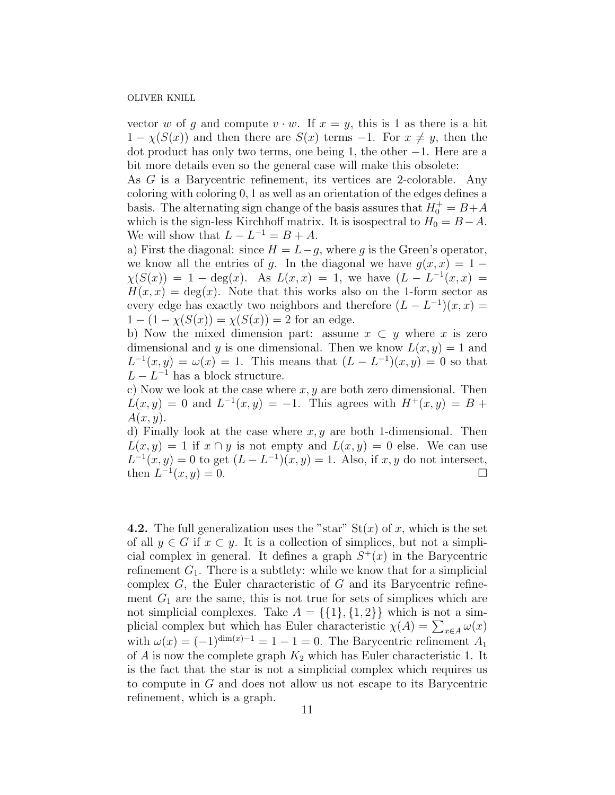vector w of q and compute  $v \cdot w$ . If  $x = y$ , this is 1 as there is a hit  $1 - \chi(S(x))$  and then there are  $S(x)$  terms  $-1$ . For  $x \neq y$ , then the dot product has only two terms, one being 1, the other −1. Here are a bit more details even so the general case will make this obsolete:

As G is a Barycentric refinement, its vertices are 2-colorable. Any coloring with coloring 0, 1 as well as an orientation of the edges defines a basis. The alternating sign change of the basis assures that  $H_0^+ = B + A$ which is the sign-less Kirchhoff matrix. It is isospectral to  $H_0 = B - A$ . We will show that  $L - L^{-1} = B + A$ .

a) First the diagonal: since  $H = L-g$ , where g is the Green's operator, we know all the entries of q. In the diagonal we have  $q(x, x) = 1 \chi(S(x)) = 1 - \deg(x)$ . As  $L(x, x) = 1$ , we have  $(L - L^{-1}(x, x)) =$  $H(x, x) = \deg(x)$ . Note that this works also on the 1-form sector as every edge has exactly two neighbors and therefore  $(L - L^{-1})(x, x) =$  $1 - (1 - \chi(S(x))) = \chi(S(x)) = 2$  for an edge.

b) Now the mixed dimension part: assume  $x \subset y$  where x is zero dimensional and y is one dimensional. Then we know  $L(x, y) = 1$  and  $L^{-1}(x, y) = \omega(x) = 1$ . This means that  $(L - L^{-1})(x, y) = 0$  so that  $L - L^{-1}$  has a block structure.

c) Now we look at the case where  $x, y$  are both zero dimensional. Then  $L(x, y) = 0$  and  $L^{-1}(x, y) = -1$ . This agrees with  $H^{+}(x, y) = B +$  $A(x, y)$ .

d) Finally look at the case where  $x, y$  are both 1-dimensional. Then  $L(x, y) = 1$  if  $x \cap y$  is not empty and  $L(x, y) = 0$  else. We can use  $L^{-1}(x, y) = 0$  to get  $(L - L^{-1})(x, y) = 1$ . Also, if x, y do not intersect, then  $L^{-1}(x, y) = 0.$ 

**4.2.** The full generalization uses the "star"  $St(x)$  of x, which is the set of all  $y \in G$  if  $x \subset y$ . It is a collection of simplices, but not a simplicial complex in general. It defines a graph  $S^+(x)$  in the Barycentric refinement  $G_1$ . There is a subtlety: while we know that for a simplicial complex  $G$ , the Euler characteristic of  $G$  and its Barycentric refinement  $G_1$  are the same, this is not true for sets of simplices which are not simplicial complexes. Take  $A = \{\{1\}, \{1,2\}\}\$  which is not a simplicial complex but which has Euler characteristic  $\chi(A) = \sum_{x \in A} \omega(x)$ with  $\omega(x) = (-1)^{\dim(x)-1} = 1 - 1 = 0$ . The Barycentric refinement  $A_1$ of  $A$  is now the complete graph  $K_2$  which has Euler characteristic 1. It is the fact that the star is not a simplicial complex which requires us to compute in G and does not allow us not escape to its Barycentric refinement, which is a graph.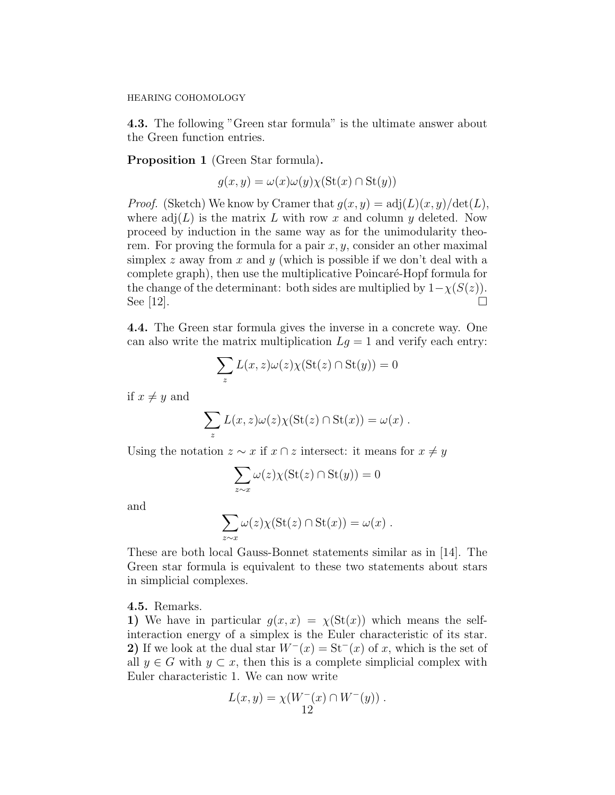4.3. The following "Green star formula" is the ultimate answer about the Green function entries.

Proposition 1 (Green Star formula).

$$
g(x, y) = \omega(x)\omega(y)\chi(\text{St}(x) \cap \text{St}(y))
$$

*Proof.* (Sketch) We know by Cramer that  $g(x, y) = adj(L)(x, y)/det(L)$ , where  $\text{adj}(L)$  is the matrix L with row x and column y deleted. Now proceed by induction in the same way as for the unimodularity theorem. For proving the formula for a pair  $x, y$ , consider an other maximal simplex z away from x and y (which is possible if we don't deal with a complete graph), then use the multiplicative Poincaré-Hopf formula for the change of the determinant: both sides are multiplied by  $1-\chi(S(z))$ . See [12].

4.4. The Green star formula gives the inverse in a concrete way. One can also write the matrix multiplication  $Lg = 1$  and verify each entry:

$$
\sum_{z} L(x, z)\omega(z)\chi(\mathrm{St}(z) \cap \mathrm{St}(y)) = 0
$$

if  $x \neq y$  and

$$
\sum_{z} L(x, z)\omega(z)\chi(\text{St}(z) \cap \text{St}(x)) = \omega(x) .
$$

Using the notation  $z \sim x$  if  $x \cap z$  intersect: it means for  $x \neq y$ 

$$
\sum_{z \sim x} \omega(z) \chi(\text{St}(z) \cap \text{St}(y)) = 0
$$

and

$$
\sum_{z \sim x} \omega(z) \chi(\text{St}(z) \cap \text{St}(x)) = \omega(x) .
$$

These are both local Gauss-Bonnet statements similar as in [14]. The Green star formula is equivalent to these two statements about stars in simplicial complexes.

4.5. Remarks.

1) We have in particular  $g(x, x) = \chi(\text{St}(x))$  which means the selfinteraction energy of a simplex is the Euler characteristic of its star. 2) If we look at the dual star  $W^{-}(x) = \text{St}^{-}(x)$  of x, which is the set of all  $y \in G$  with  $y \subset x$ , then this is a complete simplicial complex with Euler characteristic 1. We can now write

$$
L(x, y) = \chi(W^-(x) \cap W^-(y)) .
$$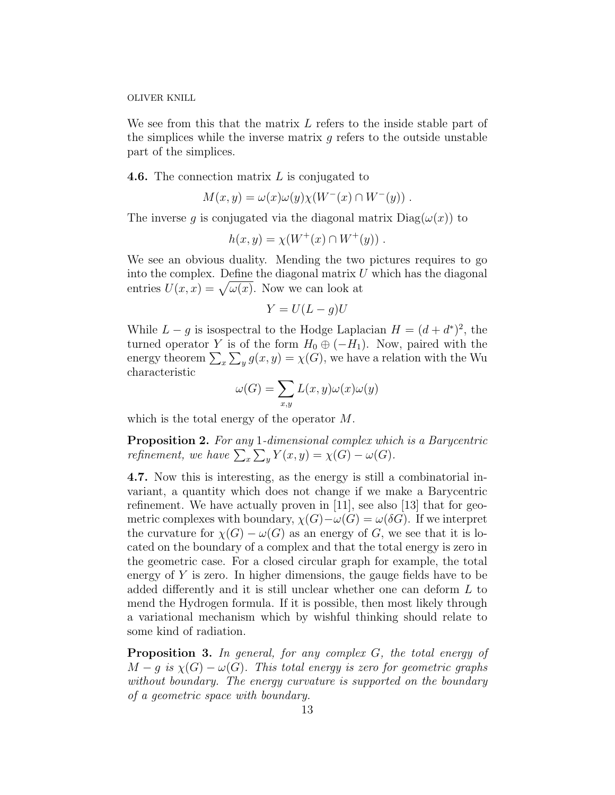We see from this that the matrix L refers to the inside stable part of the simplices while the inverse matrix  $g$  refers to the outside unstable part of the simplices.

**4.6.** The connection matrix  $L$  is conjugated to

$$
M(x,y) = \omega(x)\omega(y)\chi(W^-(x)\cap W^-(y))\ .
$$

The inverse g is conjugated via the diagonal matrix  $Diag(\omega(x))$  to

$$
h(x,y) = \chi(W^+(x) \cap W^+(y)) \ .
$$

We see an obvious duality. Mending the two pictures requires to go into the complex. Define the diagonal matrix  $U$  which has the diagonal entries  $U(x, x) = \sqrt{\omega(x)}$ . Now we can look at

$$
Y = U(L - g)U
$$

While  $L - g$  is isospectral to the Hodge Laplacian  $H = (d + d^*)^2$ , the turned operator Y is of the form  $H_0 \oplus (-H_1)$ . Now, paired with the energy theorem  $\sum_{x} \sum_{y} g(x, y) = \chi(G)$ , we have a relation with the Wu characteristic

$$
\omega(G) = \sum_{x,y} L(x,y)\omega(x)\omega(y)
$$

which is the total energy of the operator M.

Proposition 2. For any 1-dimensional complex which is a Barycentric refinement, we have  $\sum_{x} \sum_{y} Y(x, y) = \chi(G) - \omega(G)$ .

4.7. Now this is interesting, as the energy is still a combinatorial invariant, a quantity which does not change if we make a Barycentric refinement. We have actually proven in [11], see also [13] that for geometric complexes with boundary,  $\chi(G)-\omega(G)=\omega(\delta G)$ . If we interpret the curvature for  $\chi(G) - \omega(G)$  as an energy of G, we see that it is located on the boundary of a complex and that the total energy is zero in the geometric case. For a closed circular graph for example, the total energy of  $Y$  is zero. In higher dimensions, the gauge fields have to be added differently and it is still unclear whether one can deform L to mend the Hydrogen formula. If it is possible, then most likely through a variational mechanism which by wishful thinking should relate to some kind of radiation.

Proposition 3. In general, for any complex G, the total energy of  $M-g$  is  $\chi(G)-\omega(G)$ . This total energy is zero for geometric graphs without boundary. The energy curvature is supported on the boundary of a geometric space with boundary.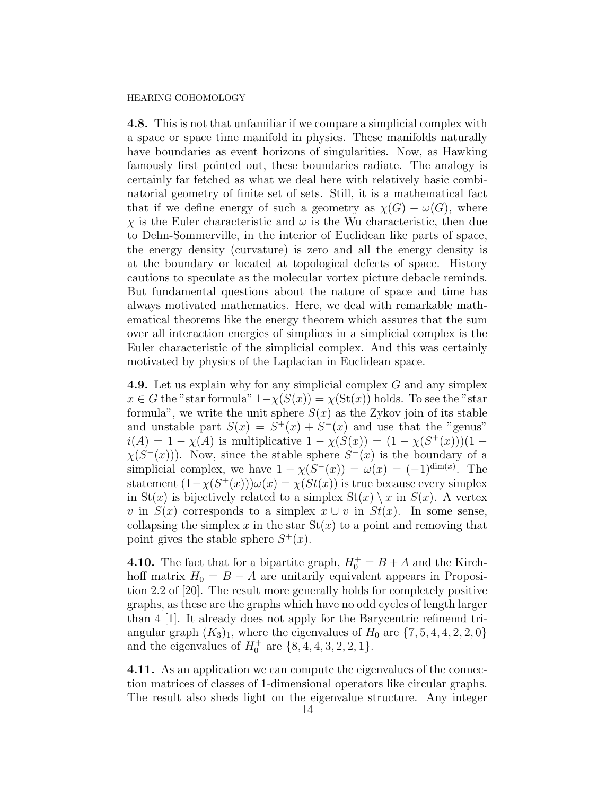4.8. This is not that unfamiliar if we compare a simplicial complex with a space or space time manifold in physics. These manifolds naturally have boundaries as event horizons of singularities. Now, as Hawking famously first pointed out, these boundaries radiate. The analogy is certainly far fetched as what we deal here with relatively basic combinatorial geometry of finite set of sets. Still, it is a mathematical fact that if we define energy of such a geometry as  $\chi(G) - \omega(G)$ , where  $\chi$  is the Euler characteristic and  $\omega$  is the Wu characteristic, then due to Dehn-Sommerville, in the interior of Euclidean like parts of space, the energy density (curvature) is zero and all the energy density is at the boundary or located at topological defects of space. History cautions to speculate as the molecular vortex picture debacle reminds. But fundamental questions about the nature of space and time has always motivated mathematics. Here, we deal with remarkable mathematical theorems like the energy theorem which assures that the sum over all interaction energies of simplices in a simplicial complex is the Euler characteristic of the simplicial complex. And this was certainly motivated by physics of the Laplacian in Euclidean space.

4.9. Let us explain why for any simplicial complex G and any simplex  $x \in G$  the "star formula"  $1-\chi(S(x)) = \chi(\text{St}(x))$  holds. To see the "star formula", we write the unit sphere  $S(x)$  as the Zykov join of its stable and unstable part  $S(x) = S^{+}(x) + S^{-}(x)$  and use that the "genus"  $i(A) = 1 - \chi(A)$  is multiplicative  $1 - \chi(S(x)) = (1 - \chi(S^+(x)))(1 \chi(S^{-}(x))$ ). Now, since the stable sphere  $S^{-}(x)$  is the boundary of a simplicial complex, we have  $1 - \chi(S^{-}(x)) = \omega(x) = (-1)^{\dim(x)}$ . The statement  $(1 - \chi(S^+(x)))\omega(x) = \chi(St(x))$  is true because every simplex in St(x) is bijectively related to a simplex  $St(x) \setminus x$  in  $S(x)$ . A vertex v in  $S(x)$  corresponds to a simplex  $x \cup v$  in  $St(x)$ . In some sense, collapsing the simplex x in the star  $St(x)$  to a point and removing that point gives the stable sphere  $S^+(x)$ .

**4.10.** The fact that for a bipartite graph,  $H_0^+ = B + A$  and the Kirchhoff matrix  $H_0 = B - A$  are unitarily equivalent appears in Proposition 2.2 of [20]. The result more generally holds for completely positive graphs, as these are the graphs which have no odd cycles of length larger than 4 [1]. It already does not apply for the Barycentric refinemd triangular graph  $(K_3)_1$ , where the eigenvalues of  $H_0$  are  $\{7, 5, 4, 4, 2, 2, 0\}$ and the eigenvalues of  $H_0^+$  are  $\{8, 4, 4, 3, 2, 2, 1\}.$ 

4.11. As an application we can compute the eigenvalues of the connection matrices of classes of 1-dimensional operators like circular graphs. The result also sheds light on the eigenvalue structure. Any integer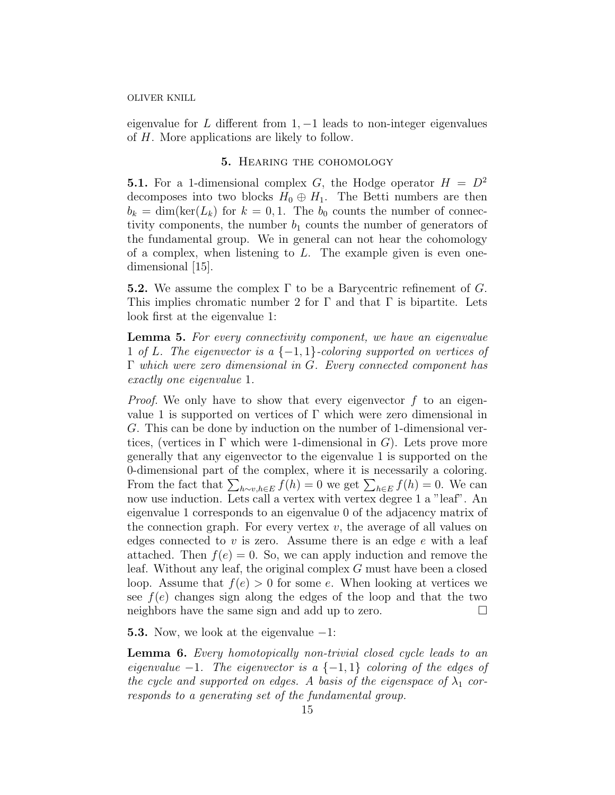eigenvalue for L different from  $1, -1$  leads to non-integer eigenvalues of H. More applications are likely to follow.

# 5. Hearing the cohomology

**5.1.** For a 1-dimensional complex G, the Hodge operator  $H = D^2$ decomposes into two blocks  $H_0 \oplus H_1$ . The Betti numbers are then  $b_k = \dim(\ker(L_k)$  for  $k = 0, 1$ . The  $b_0$  counts the number of connectivity components, the number  $b_1$  counts the number of generators of the fundamental group. We in general can not hear the cohomology of a complex, when listening to  $L$ . The example given is even onedimensional [15].

**5.2.** We assume the complex  $\Gamma$  to be a Barycentric refinement of G. This implies chromatic number 2 for  $\Gamma$  and that  $\Gamma$  is bipartite. Lets look first at the eigenvalue 1:

Lemma 5. For every connectivity component, we have an eigenvalue 1 of L. The eigenvector is a  $\{-1,1\}$ -coloring supported on vertices of Γ which were zero dimensional in G. Every connected component has exactly one eigenvalue 1.

*Proof.* We only have to show that every eigenvector  $f$  to an eigenvalue 1 is supported on vertices of  $\Gamma$  which were zero dimensional in G. This can be done by induction on the number of 1-dimensional vertices, (vertices in  $\Gamma$  which were 1-dimensional in G). Lets prove more generally that any eigenvector to the eigenvalue 1 is supported on the 0-dimensional part of the complex, where it is necessarily a coloring. From the fact that  $\sum_{h\sim v,h\in E} f(h) = 0$  we get  $\sum_{h\in E} f(h) = 0$ . We can now use induction. Lets call a vertex with vertex degree 1 a "leaf". An eigenvalue 1 corresponds to an eigenvalue 0 of the adjacency matrix of the connection graph. For every vertex  $v$ , the average of all values on edges connected to  $v$  is zero. Assume there is an edge  $e$  with a leaf attached. Then  $f(e) = 0$ . So, we can apply induction and remove the leaf. Without any leaf, the original complex G must have been a closed loop. Assume that  $f(e) > 0$  for some e. When looking at vertices we see  $f(e)$  changes sign along the edges of the loop and that the two neighbors have the same sign and add up to zero.

**5.3.** Now, we look at the eigenvalue  $-1$ :

Lemma 6. Every homotopically non-trivial closed cycle leads to an eigenvalue  $-1$ . The eigenvector is a  $\{-1,1\}$  coloring of the edges of the cycle and supported on edges. A basis of the eigenspace of  $\lambda_1$  corresponds to a generating set of the fundamental group.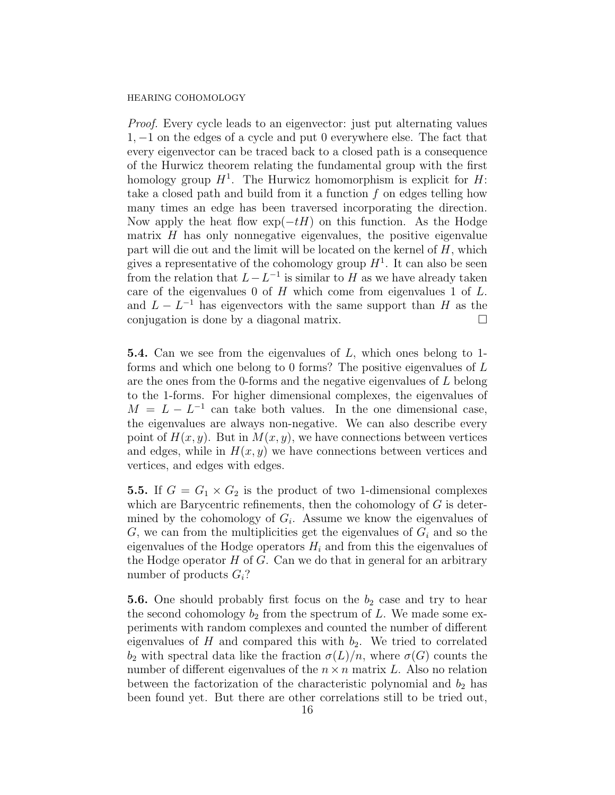Proof. Every cycle leads to an eigenvector: just put alternating values 1, −1 on the edges of a cycle and put 0 everywhere else. The fact that every eigenvector can be traced back to a closed path is a consequence of the Hurwicz theorem relating the fundamental group with the first homology group  $H^1$ . The Hurwicz homomorphism is explicit for  $H$ : take a closed path and build from it a function  $f$  on edges telling how many times an edge has been traversed incorporating the direction. Now apply the heat flow  $\exp(-tH)$  on this function. As the Hodge matrix  $H$  has only nonnegative eigenvalues, the positive eigenvalue part will die out and the limit will be located on the kernel of  $H$ , which gives a representative of the cohomology group  $H<sup>1</sup>$ . It can also be seen from the relation that  $L - L^{-1}$  is similar to H as we have already taken care of the eigenvalues  $0$  of  $H$  which come from eigenvalues  $1$  of  $L$ . and  $L - L^{-1}$  has eigenvectors with the same support than H as the conjugation is done by a diagonal matrix.

5.4. Can we see from the eigenvalues of L, which ones belong to 1 forms and which one belong to 0 forms? The positive eigenvalues of  $L$ are the ones from the 0-forms and the negative eigenvalues of L belong to the 1-forms. For higher dimensional complexes, the eigenvalues of  $M = L - L^{-1}$  can take both values. In the one dimensional case, the eigenvalues are always non-negative. We can also describe every point of  $H(x, y)$ . But in  $M(x, y)$ , we have connections between vertices and edges, while in  $H(x, y)$  we have connections between vertices and vertices, and edges with edges.

**5.5.** If  $G = G_1 \times G_2$  is the product of two 1-dimensional complexes which are Barycentric refinements, then the cohomology of  $G$  is determined by the cohomology of  $G_i$ . Assume we know the eigenvalues of  $G$ , we can from the multiplicities get the eigenvalues of  $G_i$  and so the eigenvalues of the Hodge operators  $H_i$  and from this the eigenvalues of the Hodge operator  $H$  of  $G$ . Can we do that in general for an arbitrary number of products  $G_i$ ?

**5.6.** One should probably first focus on the  $b_2$  case and try to hear the second cohomology  $b_2$  from the spectrum of L. We made some experiments with random complexes and counted the number of different eigenvalues of H and compared this with  $b_2$ . We tried to correlated  $b_2$  with spectral data like the fraction  $\sigma(L)/n$ , where  $\sigma(G)$  counts the number of different eigenvalues of the  $n \times n$  matrix L. Also no relation between the factorization of the characteristic polynomial and  $b_2$  has been found yet. But there are other correlations still to be tried out,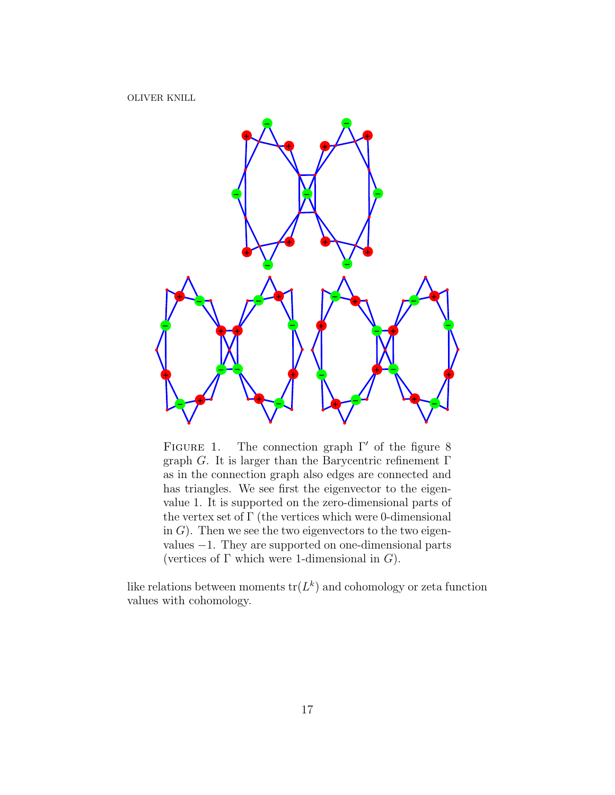

FIGURE 1. The connection graph  $\Gamma'$  of the figure 8 graph G. It is larger than the Barycentric refinement  $\Gamma$ as in the connection graph also edges are connected and has triangles. We see first the eigenvector to the eigenvalue 1. It is supported on the zero-dimensional parts of the vertex set of  $\Gamma$  (the vertices which were 0-dimensional in  $G$ ). Then we see the two eigenvectors to the two eigenvalues −1. They are supported on one-dimensional parts (vertices of  $\Gamma$  which were 1-dimensional in  $G$ ).

like relations between moments  $\text{tr}(L^k)$  and cohomology or zeta function values with cohomology.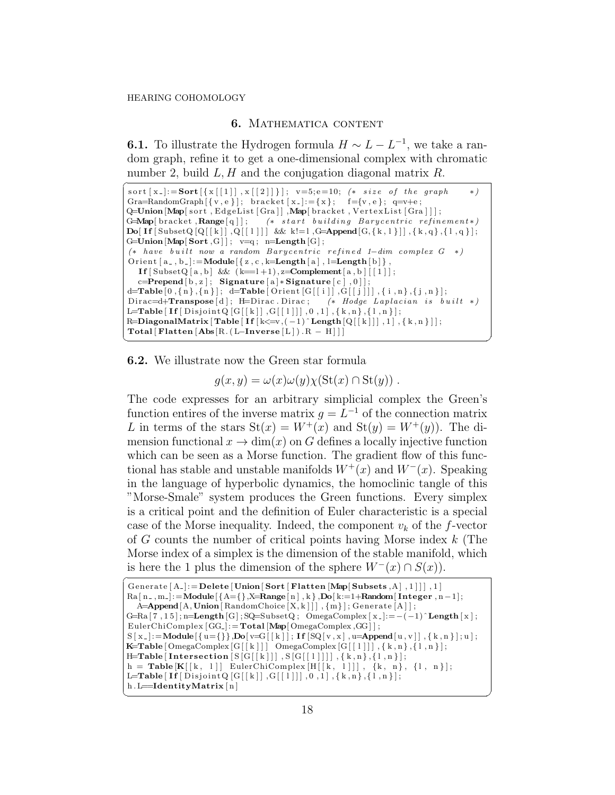# 6. Mathematica content

**6.1.** To illustrate the Hydrogen formula  $H \sim L - L^{-1}$ , we take a random graph, refine it to get a one-dimensional complex with chromatic number 2, build  $L, H$  and the conjugation diagonal matrix  $R$ .

```
\overline{a}sort [ x_{-} ]:= Sort [ { x [ [ 1 ] ] , x [ [ 2 ] ] } ]; v=5; e=10; (*$ size of the graph <math>(*)Gra=RandomGraph [\{ v, e \}]; bracket [x_{-}] := \{ x \}; f={v, e}; q=v+e;
Q=Union [Map] sort, EdgeList [Gra]], Map[bracket, VertexList [Gra]];
G=Map[bracket, Range[q]]; (* start building Barycentric refinement *)
\textbf{Do}[\textbf{If}[\text{SubsetQ}([k]], Q[[1]]) \&\&\text{ } k!=1,\text{G}=\textbf{Append}[G, \{k, 1\}]], \{k, q\}, \{1, q\}];G=Union [Map[Sort, G]] ; v=q; n=Length [G];
(* have built now a random Barycentric refined 1-dim complex G *)
Orient [a_-,b_-]: = Module \{z, c, k=Length [a], l=Length [b],
   If [\text{SubsetQ} [a, b] \&c \in [-1+1), z=\text{Complement}[a, b] [[1]];c=Prepend[b,z]; Signature [a]* Signature [c],0] ;
\label{eq:decomposition} \texttt{d} \texttt{=} \texttt{Table[0}, \{\texttt{n}\}, \{\texttt{n}\}\,]; \texttt{d} \texttt{=} \texttt{Table[Orient}\left[\texttt{G}[\left[\texttt{i}\,\right]\right], \texttt{G}[\left[\texttt{j}\,\right]]\right], \{\texttt{i}\, , \texttt{n}\\,\}, \{\texttt{j}\, , \texttt{n}\}\,];Dirac=d+Transpose [d]; H=Dirac . Dirac; (* Hodge Laplacian is built *)
 L=Table [ <code>If</code> [ <code>DisjointQ [G[[k]] ,G[[1]]] ,0 ,1] , { k ,n} ,{1 ,n}];</code>
R=DiagonalMatrix [Table [ If [k\leq v, (-1) \in Length [Q[[k]]], 1], \{k, n\}]];
Total [ Flatten [Abs[R.(L-Inverse [L]) . R - H]]]
```
6.2. We illustrate now the Green star formula

 $g(x, y) = \omega(x)\omega(y)\chi(\text{St}(x) \cap \text{St}(y)).$ 

 $\frac{1}{\sqrt{2}}$   $\frac{1}{\sqrt{2}}$   $\frac{1}{\sqrt{2}}$   $\frac{1}{\sqrt{2}}$   $\frac{1}{\sqrt{2}}$   $\frac{1}{\sqrt{2}}$   $\frac{1}{\sqrt{2}}$   $\frac{1}{\sqrt{2}}$   $\frac{1}{\sqrt{2}}$   $\frac{1}{\sqrt{2}}$   $\frac{1}{\sqrt{2}}$   $\frac{1}{\sqrt{2}}$   $\frac{1}{\sqrt{2}}$   $\frac{1}{\sqrt{2}}$   $\frac{1}{\sqrt{2}}$   $\frac{1}{\sqrt{2}}$   $\frac{1}{\sqrt{2}}$ 

The code expresses for an arbitrary simplicial complex the Green's function entires of the inverse matrix  $g = L^{-1}$  of the connection matrix L in terms of the stars  $St(x) = W^+(x)$  and  $St(y) = W^+(y)$ . The dimension functional  $x \to \dim(x)$  on G defines a locally injective function which can be seen as a Morse function. The gradient flow of this functional has stable and unstable manifolds  $W^+(x)$  and  $W^-(x)$ . Speaking in the language of hyperbolic dynamics, the homoclinic tangle of this "Morse-Smale" system produces the Green functions. Every simplex is a critical point and the definition of Euler characteristic is a special case of the Morse inequality. Indeed, the component  $v_k$  of the f-vector of G counts the number of critical points having Morse index k (The Morse index of a simplex is the dimension of the stable manifold, which is here the 1 plus the dimension of the sphere  $W^-(x) \cap S(x)$ .

```
Generate [A_-] := \textbf{Delete} \left[ \textbf{Union} \left[ \textbf{Sort} \left[ \textbf{Flatten} \left[ \textbf{Map} \left[ \textbf{Subsets}, A \right], 1 \right] \right] \right], 1 \right]Ra[n_-,m_-]:=Module[\{A=\{\},X=Range[n],k\},Do[k:=1+Random[Integer,n-1];A=Append [A, Union [RandomChoice [X, k]]], {m}]; Generate [A]];
 G=Ra [7, 15]; n=Length [G]; SQ=SubsetQ; OmegaComplex [x]: = (-1)^ Length [x];
 EulerChiComplex [GG<sub>-</sub>]:=Total [Map[OmegaComplex, GG] ];
 S\left[\;x_{-}\right] := \textbf{Module}\left[\;\left\{\;u\!=\!\left\{\right\}\right\}, \textbf{Do}\left[\;v\!=\!\!G\left[\left[\;k\;\right]\right]; \;\textbf{If}\left[\,\text{SQ}\left[\;v\;,x\,\right]\,,u\!=\!\!\textbf{Append}\left[\;u\;,v\,\right]\right],\left\{\;k\;,n\;\right\} \right]; u\;\right];K=Table [ OmegaComplex [G[ [ k ] ] ] OmegaComplex [G[ [ l ] ] ] , { k , n} ,{ l , n } ] ;
 \texttt{H\!\! = \!\!Table} \texttt{Intersection}\left[\,\texttt{S}\!\left[\,\texttt{G}\!\left[\,\left[\,k\,\right]\,\right]\,\right],\,\texttt{S}\!\left[\,\texttt{G}\!\left[\,\left[\,1\,\right]\,\right]\,\right]\,\right],\,\{\,k\,,n\,\},\,\{\,\textcolor{red}{1}\,,n\,\}\,\right];h = \textbf{Table}[\mathbf{K}[[k, 1]] \text{ EulerChiComplex}[\textbf{H}[[k, 1]]], \{k, n\}, \{1, n\}];L=Table [ If [ Disjoint Q [G[[k]] , G[[1]]] , 0 , 1 ] , \{ k, n\}, \{1, n\}];h.L=IdentityMatrix[n]
```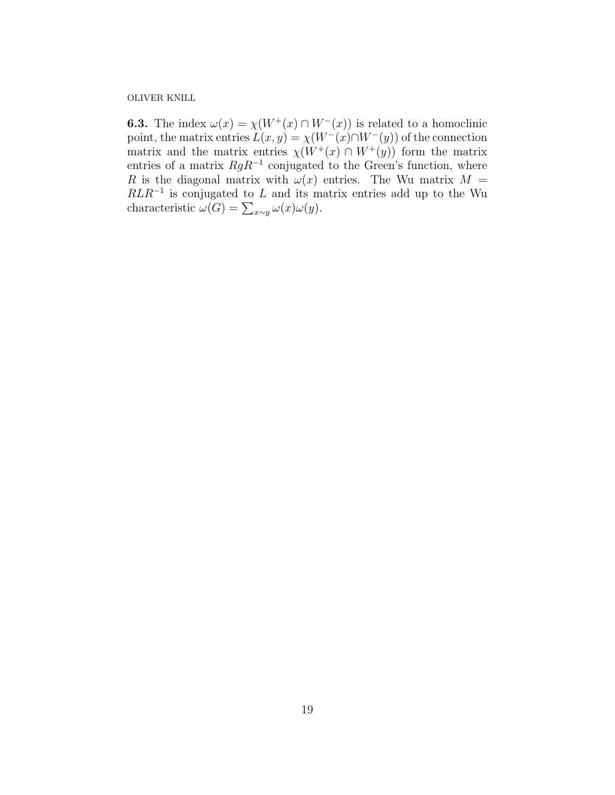**6.3.** The index  $\omega(x) = \chi(W^+(x) \cap W^-(x))$  is related to a homoclinic point, the matrix entries  $L(x, y) = \chi(W^{-}(x) \cap W^{-}(y))$  of the connection matrix and the matrix entries  $\chi(W^+(x) \cap W^+(y))$  form the matrix entries of a matrix  $RgR^{-1}$  conjugated to the Green's function, where R is the diagonal matrix with  $\omega(x)$  entries. The Wu matrix  $M =$  $RLR^{-1}$  is conjugated to L and its matrix entries add up to the Wu characteristic  $\omega(G) = \sum_{x \sim y} \omega(x) \omega(y)$ .